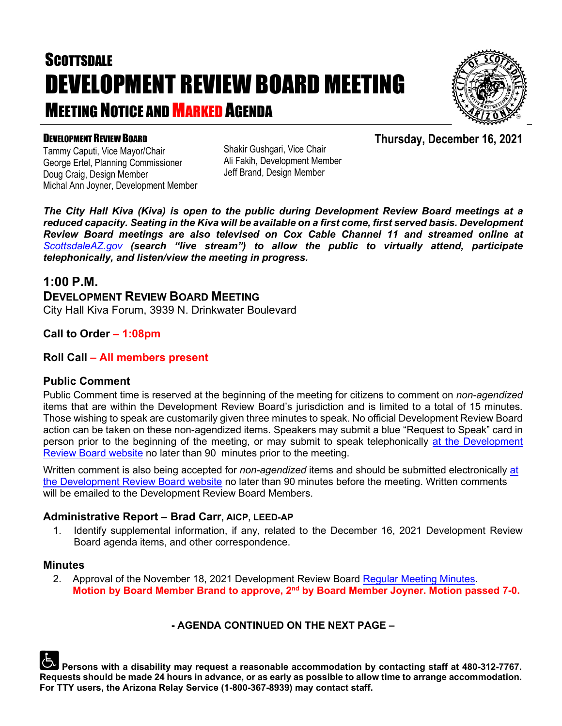# **SCOTTSDALE** DEVELOPMENT REVIEW BOARD MEETING **MEETING NOTICE AND MARKED AGENDA**



**Thursday, December 16, 2021**

#### DEVELOPMENT REVIEW BOARD

Tammy Caputi, Vice Mayor/Chair George Ertel, Planning Commissioner Doug Craig, Design Member Michal Ann Joyner, Development Member Shakir Gushgari, Vice Chair Ali Fakih, Development Member Jeff Brand, Design Member

*The City Hall Kiva (Kiva) is open to the public during Development Review Board meetings at a reduced capacity. Seating in the Kiva will be available on a first come, first served basis. Development Review Board meetings are also televised on Cox Cable Channel 11 and streamed online at [ScottsdaleAZ.gov](http://www.scottsdaleaz.gov/) (search "live stream") to allow the public to virtually attend, participate telephonically, and listen/view the meeting in progress.*

### **1:00 P.M.**

### **DEVELOPMENT REVIEW BOARD MEETING**

City Hall Kiva Forum, 3939 N. Drinkwater Boulevard

#### **Call to Order – 1:08pm**

#### **Roll Call – All members present**

#### **Public Comment**

Public Comment time is reserved at the beginning of the meeting for citizens to comment on *non-agendized* items that are within the Development Review Board's jurisdiction and is limited to a total of 15 minutes. Those wishing to speak are customarily given three minutes to speak. No official Development Review Board action can be taken on these non-agendized items. Speakers may submit a blue "Request to Speak" card in person prior to the beginning of the meeting, or may submit to speak telephonically [at the Development](https://www.scottsdaleaz.gov/boards/development-review-board/spoken-comment) [Review Board website](https://www.scottsdaleaz.gov/boards/development-review-board/spoken-comment) no later than 90 minutes prior to the meeting.

Written comment is also being accepted for *non-agendized* items and should be submitted electronically [at](https://www.scottsdaleaz.gov/boards/development-review-board/public-comment)  [the Development Review Board website](https://www.scottsdaleaz.gov/boards/development-review-board/public-comment) no later than 90 minutes before the meeting. Written comments will be emailed to the Development Review Board Members.

#### **Administrative Report – Brad Carr, AICP, LEED-AP**

1. Identify supplemental information, if any, related to the December 16, 2021 Development Review Board agenda items, and other correspondence.

#### **Minutes**

2. Approval of the November 18, 2021 Development Review Board [Regular Meeting Minutes.](https://eservices.scottsdaleaz.gov/planning/projectsummary/unrelated_documents/DRB_MEETING_MINUTES_11182021.pdf) **Motion by Board Member Brand to approve, 2nd by Board Member Joyner. Motion passed 7-0.**

#### **- AGENDA CONTINUED ON THE NEXT PAGE –**

**Persons with a disability may request a reasonable accommodation by contacting staff at 480-312-7767. Requests should be made 24 hours in advance, or as early as possible to allow time to arrange accommodation. For TTY users, the Arizona Relay Service (1-800-367-8939) may contact staff.**